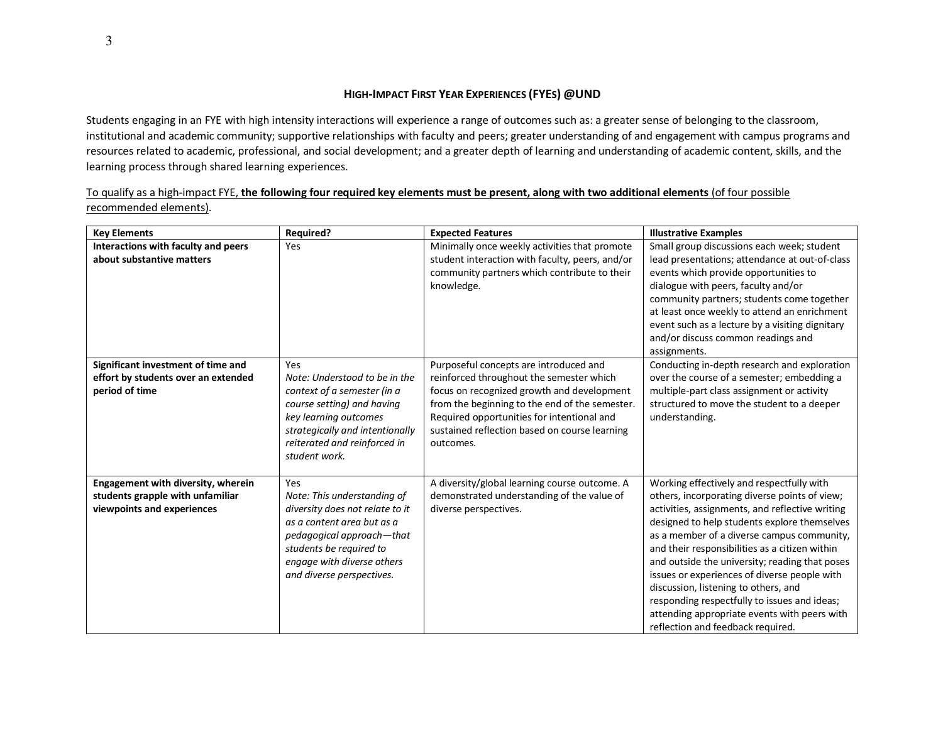## **HIGH-IMPACT FIRST YEAR EXPERIENCES (FYES) @UND**

Students engaging in an FYE with high intensity interactions will experience a range of outcomes such as: a greater sense of belonging to the classroom, institutional and academic community; supportive relationships with faculty and peers; greater understanding of and engagement with campus programs and resources related to academic, professional, and social development; and a greater depth of learning and understanding of academic content, skills, and the learning process through shared learning experiences.

To qualify as a high-impact FYE, **the following four required key elements must be present, along with two additional elements** (of four possible recommended elements).

| <b>Key Elements</b>                                                                                  | <b>Required?</b>                                                                                                                                                                                                       | <b>Expected Features</b>                                                                                                                                                                                                                                                                       | <b>Illustrative Examples</b>                                                                                                                                                                                                                                                                                                                                                                                                                                                                                                                                                 |
|------------------------------------------------------------------------------------------------------|------------------------------------------------------------------------------------------------------------------------------------------------------------------------------------------------------------------------|------------------------------------------------------------------------------------------------------------------------------------------------------------------------------------------------------------------------------------------------------------------------------------------------|------------------------------------------------------------------------------------------------------------------------------------------------------------------------------------------------------------------------------------------------------------------------------------------------------------------------------------------------------------------------------------------------------------------------------------------------------------------------------------------------------------------------------------------------------------------------------|
| Interactions with faculty and peers<br>about substantive matters                                     | Yes                                                                                                                                                                                                                    | Minimally once weekly activities that promote<br>student interaction with faculty, peers, and/or<br>community partners which contribute to their<br>knowledge.                                                                                                                                 | Small group discussions each week; student<br>lead presentations; attendance at out-of-class<br>events which provide opportunities to<br>dialogue with peers, faculty and/or<br>community partners; students come together<br>at least once weekly to attend an enrichment<br>event such as a lecture by a visiting dignitary<br>and/or discuss common readings and<br>assignments.                                                                                                                                                                                          |
| Significant investment of time and<br>effort by students over an extended<br>period of time          | Yes<br>Note: Understood to be in the<br>context of a semester (in a<br>course setting) and having<br>key learning outcomes<br>strategically and intentionally<br>reiterated and reinforced in<br>student work.         | Purposeful concepts are introduced and<br>reinforced throughout the semester which<br>focus on recognized growth and development<br>from the beginning to the end of the semester.<br>Required opportunities for intentional and<br>sustained reflection based on course learning<br>outcomes. | Conducting in-depth research and exploration<br>over the course of a semester; embedding a<br>multiple-part class assignment or activity<br>structured to move the student to a deeper<br>understanding.                                                                                                                                                                                                                                                                                                                                                                     |
| Engagement with diversity, wherein<br>students grapple with unfamiliar<br>viewpoints and experiences | Yes<br>Note: This understanding of<br>diversity does not relate to it<br>as a content area but as a<br>pedagogical approach—that<br>students be required to<br>engage with diverse others<br>and diverse perspectives. | A diversity/global learning course outcome. A<br>demonstrated understanding of the value of<br>diverse perspectives.                                                                                                                                                                           | Working effectively and respectfully with<br>others, incorporating diverse points of view;<br>activities, assignments, and reflective writing<br>designed to help students explore themselves<br>as a member of a diverse campus community,<br>and their responsibilities as a citizen within<br>and outside the university; reading that poses<br>issues or experiences of diverse people with<br>discussion, listening to others, and<br>responding respectfully to issues and ideas;<br>attending appropriate events with peers with<br>reflection and feedback required. |